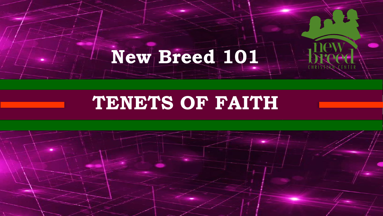# **New Breed 101**

## **TENETS OF FAITH**

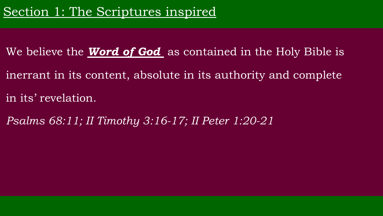- We believe the *Word of God* as contained in the Holy Bible is
- inerrant in its content, absolute in its authority and complete
- in its' revelation.
- *Psalms 68:11; II Timothy 3:16-17; II Peter 1:20-21*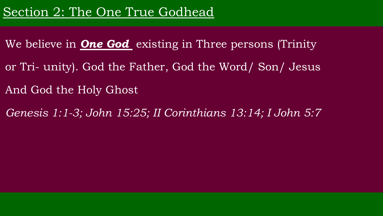- and the Word /<br>he Fother Cod the Word / We believe in *One God* existing in Three persons (Trinity or Tri- unity). God the Father, God the Word/ Son/ Jesus
- And God the Holy Ghost
- $15.05.$  II Corinthians  $12.14$ *Genesis 1:1-3; John 15:25; II Corinthians 13:14; I John 5:7*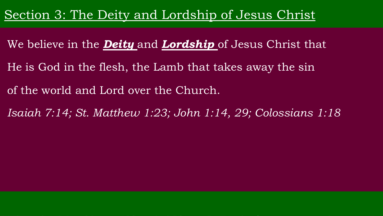#### Section 3: The Deity and Lordship of Jesus Christ

- We believe in the *Deity* and *Lordship* of Jesus Christ that
- $\frac{1}{\sqrt{2}}$ He is God in the flesh, the Lamb that takes away the sin
- of the world and Lord over the Church.
- $Hh_{0111}$  1.02.  $I_0h_{11}$  1.11 00. *Isaiah 7:14; St. Matthew 1:23; John 1:14, 29; Colossians 1:18*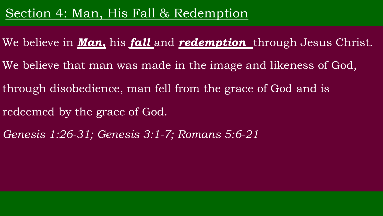#### Section 4: Man, His Fall & Redemption

- We believe in *Man,* his *fall* and *redemption* through Jesus Christ.
- was made in the image ar We believe that man was made in the image and likeness of God,
- through disobedience, man fell from the grace of God and is
- are of God redeemed by the grace of God.
- *Genesis 1:26-31; Genesis 3:1-7; Romans 5:6-21*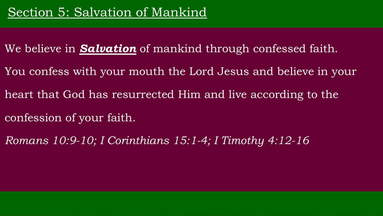- tion of manking through c Tesurrected film and live ac We believe in *Salvation* of mankind through confessed faith. You confess with your mouth the Lord Jesus and believe in your heart that God has resurrected Him and live according to the confession of your faith.
- $\mu$ itituaris 15:1-4; i Tuni *Romans 10:9-10; I Corinthians 15:1-4; I Timothy 4:12-16*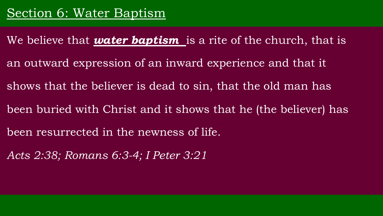- an outward expression of an inward experience and that it We believe that *water baptism* is a rite of the church, that is shows that the believer is dead to sin, that the old man has
- been buried with Christ and it shows that he (the believer) has
- been resurrected in the newness of life.
- SECTION 1-9 *Acts 2:38; Romans 6:3-4; I Peter 3:21*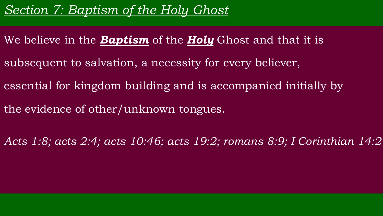## *Section 7: Baptism of the Holy Ghost*

- We believe in the *Baptism* of the *Holy* Ghost and that it is
- subsequent to salvation, a necessity for every believer,
- essential for kingdom building and is accompanied initially by
- the evidence of other/unknown tongues.
- *Acts 1:8; acts 2:4; acts 10:46; acts 19:2; romans 8:9; I Corinthian 14:2*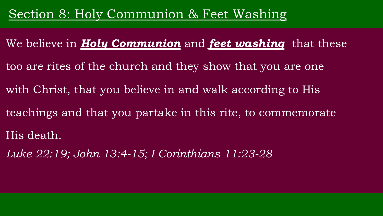#### Section 8: Holy Communion & Feet Washing

- <u>and they</u> chow that  $T(1)$  portalse in this rite to a We believe in *Holy Communion* and *feet washing* that these too are rites of the church and they show that you are one with Christ, that you believe in and walk according to His
- teachings and that you partake in this rite, to commemorate
- His death.
- SECTION 1-9 *Luke 22:19; John 13:4-15; I Corinthians 11:23-28*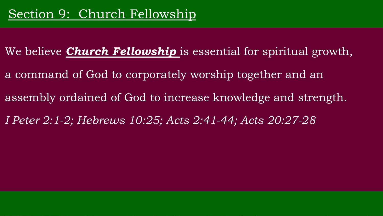We believe *Church Fellowship* is essential for spiritual growth, assembly ordained of God to increase knowledge and strength. a command of God to corporately worship together and an *I Peter 2:1-2; Hebrews 10:25; Acts 2:41-44; Acts 20:27-28*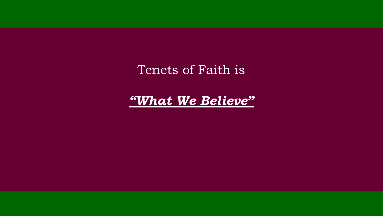NEW BREEZ AND THE STREET WAS ARRESTED FOR THE STREET WAS ARRESTED FOR THE STREET WAS ARRESTED FOR THE STREET WAS Tenets of Faith is

TENETS OF FAITH *"What We Believe"*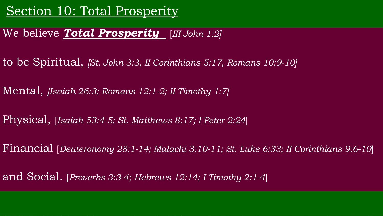## Section 10: Total Prosperity

#### We believe *Total Prosperity* [*III John 1:2]*

- to be Spiritual, *[St. John 3:3, II Corinthians 5:17, Romans 10:9-10]*
- Mental, *[Isaiah 26:3; Romans 12:1-2; II Timothy 1:7]*
- Physical, [*Isaiah 53:4-5; St. Matthews 8:17; I Peter 2:24*]
- Financial [*Deuteronomy 28:1-14; Malachi 3:10-11; St. Luke 6:33; II Corinthians 9:6-10*]
- and Social. [*Proverbs 3:3-4; Hebrews 12:14; I Timothy 2:1-4*]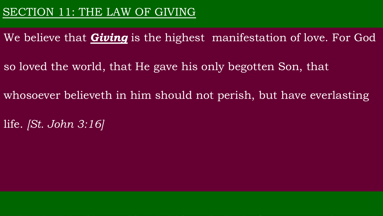We believe that *Giving* is the highest manifestation of love. For God

so loved the world, that He gave his only begotten Son, that

whosoever believeth in him should not perish, but have everlasting

life. *[St. John 3:16]*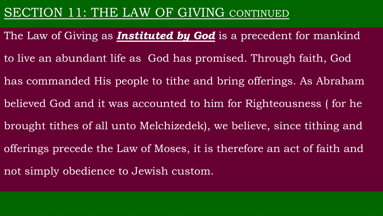The Law of Giving as *Instituted by God* is a precedent for mankind to live an abundant life as God has promised. Through faith, God has commanded His people to tithe and bring offerings. As Abraham believed God and it was accounted to him for Righteousness ( for he brought tithes of all unto Melchizedek), we believe, since tithing and offerings precede the Law of Moses, it is therefore an act of faith and not simply obedience to Jewish custom.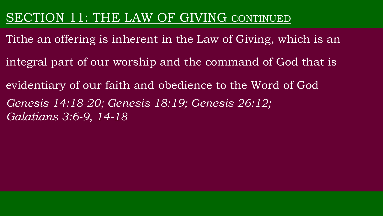- Tithe an offering is inherent in the Law of Giving, which is an
- integral part of our worship and the command of God that is
- evidentiary of our faith and obedience to the Word of God
- *Genesis 14:18-20; Genesis 18:19; Genesis 26:12; Galatians 3:6-9, 14-18*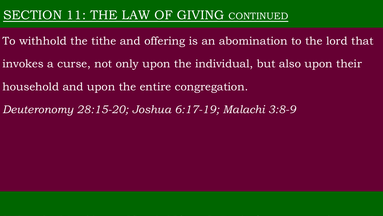- To withhold the tithe and offering is an abomination to the lord that invokes a curse, not only upon the individual, but also upon their
- household and upon the entire congregation.
- *Deuteronomy 28:15-20; Joshua 6:17-19; Malachi 3:8-9*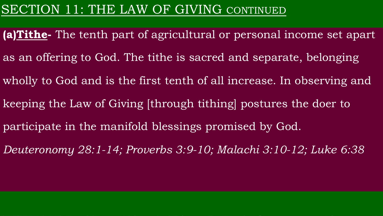**(a)Tithe-** The tenth part of agricultural or personal income set apart as an offering to God. The tithe is sacred and separate, belonging wholly to God and is the first tenth of all increase. In observing and keeping the Law of Giving [through tithing] postures the doer to participate in the manifold blessings promised by God. *Deuteronomy 28:1-14; Proverbs 3:9-10; Malachi 3:10-12; Luke 6:38*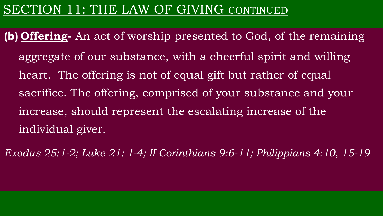- **(b) Offering-** An act of worship presented to God, of the remaining aggregate of our substance, with a cheerful spirit and willing heart. The offering is not of equal gift but rather of equal sacrifice. The offering, comprised of your substance and your increase, should represent the escalating increase of the individual giver.
- *Exodus 25:1-2; Luke 21: 1-4; II Corinthians 9:6-11; Philippians 4:10, 15-19*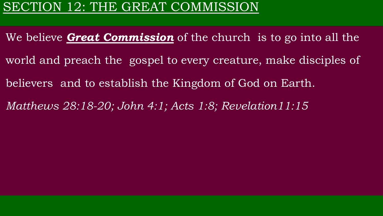## SECTION 12: THE GREAT COMMISSION

- We believe *Great Commission* of the church is to go into all the world and preach the gospel to every creature, make disciples of believers and to establish the Kingdom of God on Earth.
- *Matthews 28:18-20; John 4:1; Acts 1:8; Revelation11:15*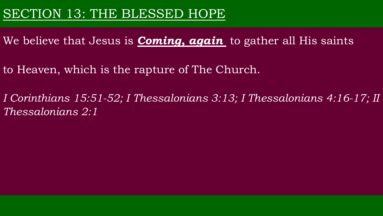#### SECTION 13: THE BLESSED HOPE

- We believe that Jesus is *Coming, again* to gather all His saints
- to Heaven, which is the rapture of The Church.
- *I Corinthians 15:51-52; I Thessalonians 3:13; I Thessalonians 4:16-17; II Thessalonians 2:1*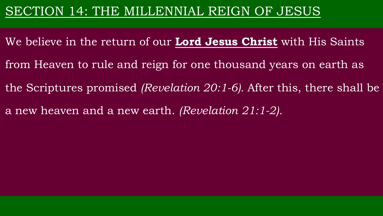#### SECTION 14: THE MILLENNIAL REIGN OF JESUS

- We believe in the return of our **Lord Jesus Christ** with His Saints
- from Heaven to rule and reign for one thousand years on earth as
- the Scriptures promised *(Revelation 20:1-6).* After this, there shall be
- a new heaven and a new earth. *(Revelation 21:1-2).*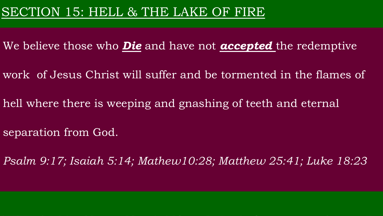- We believe those who *Die* and have not *accepted* the redemptive
- work of Jesus Christ will suffer and be tormented in the flames of
- hell where there is weeping and gnashing of teeth and eternal
- separation from God.
- *Psalm 9:17; Isaiah 5:14; Mathew10:28; Matthew 25:41; Luke 18:23*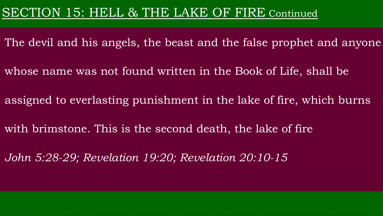#### SECTION 15: HELL & THE LAKE OF FIRE Continued

The devil and his angels, the beast and the false prophet and anyone

whose name was not found written in the Book of Life, shall be

assigned to everlasting punishment in the lake of fire, which burns

with brimstone. This is the second death, the lake of fire

*John 5:28-29; Revelation 19:20; Revelation 20:10-15*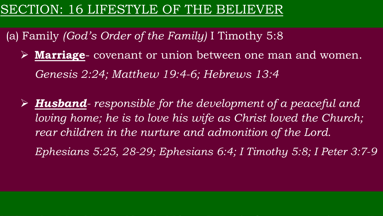## SECTION: 16 LIFESTYLE OF THE BELIEVER

(a) Family *(God's Order of the Family)* I Timothy 5:8

- Ø **Marriage** covenant or union between one man and women. *Genesis 2:24; Matthew 19:4-6; Hebrews 13:4*
- Ø *Husband- responsible for the development of a peaceful and loving home; he is to love his wife as Christ loved the Church; rear children in the nurture and admonition of the Lord.*

*Ephesians 5:25, 28-29; Ephesians 6:4; I Timothy 5:8; I Peter 3:7-9*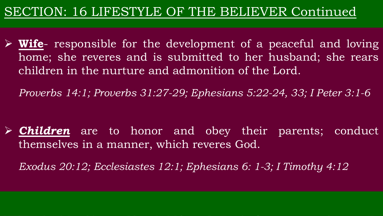## SECTION: 16 LIFESTYLE OF THE BELIEVER Continued

Ø **Wife**- responsible for the development of a peaceful and loving home; she reveres and is submitted to her husband; she rears children in the nurture and admonition of the Lord.

*Proverbs 14:1; Proverbs 31:27-29; Ephesians 5:22-24, 33; I Peter 3:1-6*

Ø *Children* are to honor and obey their parents; conduct themselves in a manner, which reveres God.

*Exodus 20:12; Ecclesiastes 12:1; Ephesians 6: 1-3; I Timothy 4:12*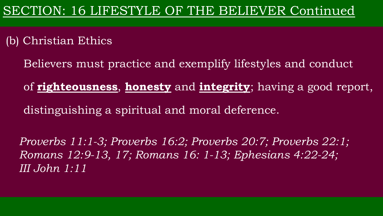(b) Christian Ethics

Believers must practice and exemplify lifestyles and conduct

of **righteousness**, **honesty** and **integrity**; having a good report, distinguishing a spiritual and moral deference.

*Proverbs 11:1-3; Proverbs 16:2; Proverbs 20:7; Proverbs 22:1; Romans 12:9-13, 17; Romans 16: 1-13; Ephesians 4:22-24; III John 1:11*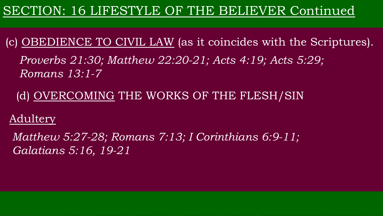## SECTION: 16 LIFESTYLE OF THE BELIEVER Continued

(c) OBEDIENCE TO CIVIL LAW (as it coincides with the Scriptures).

*Proverbs 21:30; Matthew 22:20-21; Acts 4:19; Acts 5:29; Romans 13:1-7*

(d) OVERCOMING THE WORKS OF THE FLESH/SIN

**Adultery** 

*Matthew 5:27-28; Romans 7:13; I Corinthians 6:9-11; Galatians 5:16, 19-21*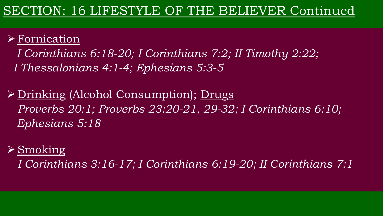#### $\triangleright$  Fornication

*I Corinthians 6:18-20; I Corinthians 7:2; II Timothy 2:22; I Thessalonians 4:1-4; Ephesians 5:3-5*

Ø Drinking (Alcohol Consumption); Drugs *Proverbs 20:1; Proverbs 23:20-21, 29-32; I Corinthians 6:10; Ephesians 5:18*

#### $\triangleright$  Smoking

*I Corinthians 3:16-17; I Corinthians 6:19-20; II Corinthians 7:1*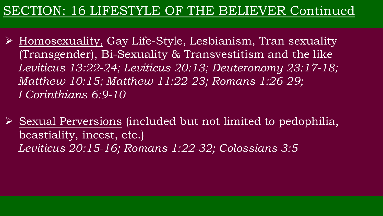## SECTION: 16 LIFESTYLE OF THE BELIEVER Continued

 $\triangleright$  Homosexuality, Gay Life-Style, Lesbianism, Tran sexuality (Transgender), Bi-Sexuality & Transvestitism and the like *Leviticus 13:22-24; Leviticus 20:13; Deuteronomy 23:17-18; Matthew 10:15; Matthew 11:22-23; Romans 1:26-29; I Corinthians 6:9-10*

 $\triangleright$  Sexual Perversions (included but not limited to pedophilia, beastiality, incest, etc.) *Leviticus 20:15-16; Romans 1:22-32; Colossians 3:5*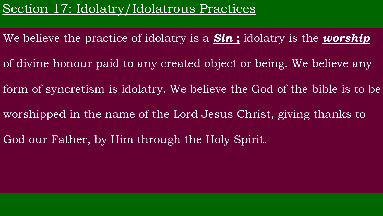## Section 17: Idolatry/Idolatrous Practices

- We believe the practice of idolatry is a *Sin* **;** idolatry is the *worship*
- of divine honour paid to any created object or being. We believe any
- form of syncretism is idolatry. We believe the God of the bible is to be
- worshipped in the name of the Lord Jesus Christ, giving thanks to
- God our Father, by Him through the Holy Spirit.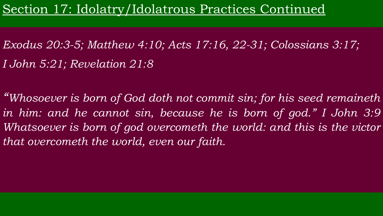Section 17: Idolatry/Idolatrous Practices Continued

*Exodus 20:3-5; Matthew 4:10; Acts 17:16, 22-31; Colossians 3:17; I John 5:21; Revelation 21:8*

*"Whosoever is born of God doth not commit sin; for his seed remaineth in him: and he cannot sin, because he is born of god." I John 3:9 Whatsoever is born of god overcometh the world: and this is the victor that overcometh the world, even our faith.*